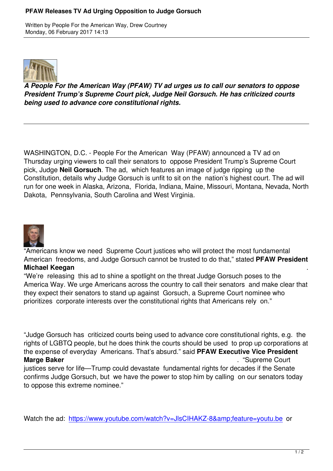

*A People For the American Way (PFAW) TV ad urges us to call our senators to oppose President Trump's Supreme Court pick, Judge Neil Gorsuch. He has criticized courts being used to advance core constitutional rights.*

WASHINGTON, D.C. - People For the American Way (PFAW) announced a TV ad on Thursday urging viewers to call their senators to oppose President Trump's Supreme Court pick, Judge **Neil Gorsuch**. The ad, which features an image of judge ripping up the Constitution, details why Judge Gorsuch is unfit to sit on the nation's highest court. The ad will run for one week in Alaska, Arizona, Florida, Indiana, Maine, Missouri, Montana, Nevada, North Dakota, Pennsylvania, South Carolina and West Virginia.



"Americans know we need Supreme Court justices who will protect the most fundamental American freedoms, and Judge Gorsuch cannot be trusted to do that," stated **PFAW President Michael Keegan** .

"We're releasing this ad to shine a spotlight on the threat Judge Gorsuch poses to the America Way. We urge Americans across the country to call their senators and make clear that they expect their senators to stand up against Gorsuch, a Supreme Court nominee who prioritizes corporate interests over the constitutional rights that Americans rely on."

"Judge Gorsuch has criticized courts being used to advance core constitutional rights, e.g. the rights of LGBTQ people, but he does think the courts should be used to prop up corporations at the expense of everyday Americans. That's absurd." said **PFAW Executive Vice President Marge Baker** ... **Marge Baker** ... **Marge Baker** ... **"Supreme Court** ... "Supreme Court justices serve for life—Trump could devastate fundamental rights for decades if the Senate confirms Judge Gorsuch, but we have the power to stop him by calling on our senators today to oppose this extreme nominee."

Watch the ad: https://www.youtube.com/watch?v=JlsCIHAKZ-8&feature=youtu.be or